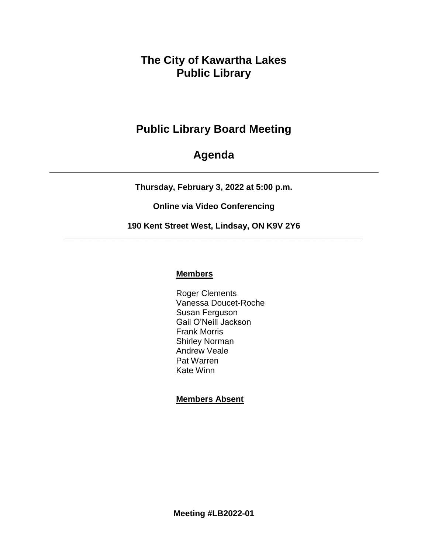## **The City of Kawartha Lakes Public Library**

# **Public Library Board Meeting**

## **Agenda**

**Thursday, February 3, 2022 at 5:00 p.m.**

**Online via Video Conferencing**

**190 Kent Street West, Lindsay, ON K9V 2Y6 \_\_\_\_\_\_\_\_\_\_\_\_\_\_\_\_\_\_\_\_\_\_\_\_\_\_\_\_\_\_\_\_\_\_\_\_\_\_\_\_\_\_\_\_\_\_\_\_\_\_\_\_\_\_\_\_\_\_\_\_\_\_\_\_**

## **Members**

Roger Clements Vanessa Doucet-Roche Susan Ferguson Gail O'Neill Jackson Frank Morris Shirley Norman Andrew Veale Pat Warren Kate Winn

## **Members Absent**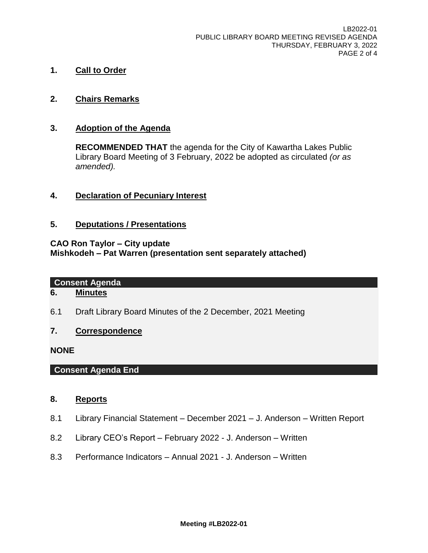- **1. Call to Order**
- **2. Chairs Remarks**

#### **3. Adoption of the Agenda**

**RECOMMENDED THAT** the agenda for the City of Kawartha Lakes Public Library Board Meeting of 3 February, 2022 be adopted as circulated *(or as amended).*

**4. Declaration of Pecuniary Interest**

#### **5. Deputations / Presentations**

#### **CAO Ron Taylor – City update Mishkodeh – Pat Warren (presentation sent separately attached)**

#### **Consent Agenda**

## **6. Minutes**

6.1 Draft Library Board Minutes of the 2 December, 2021 Meeting

#### **7. Correspondence**

#### **NONE**

### **Consent Agenda End**

#### **8. Reports**

- 8.1 Library Financial Statement December 2021 J. Anderson Written Report
- 8.2 Library CEO's Report February 2022 J. Anderson Written
- 8.3 Performance Indicators Annual 2021 J. Anderson Written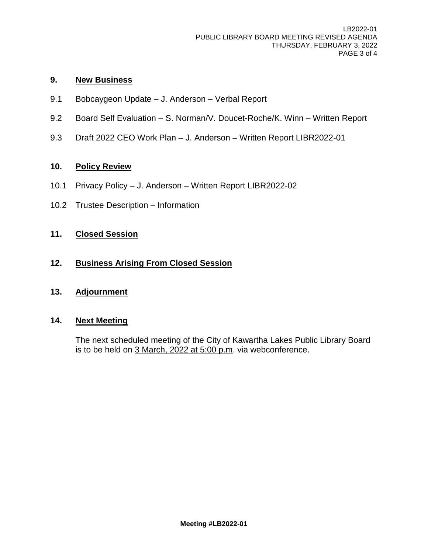### **9. New Business**

- 9.1 Bobcaygeon Update J. Anderson Verbal Report
- 9.2 Board Self Evaluation S. Norman/V. Doucet-Roche/K. Winn Written Report
- 9.3 Draft 2022 CEO Work Plan J. Anderson Written Report LIBR2022-01

## **10. Policy Review**

- 10.1 Privacy Policy J. Anderson Written Report LIBR2022-02
- 10.2 Trustee Description Information

### **11. Closed Session**

#### **12. Business Arising From Closed Session**

#### **13. Adjournment**

## **14. Next Meeting**

The next scheduled meeting of the City of Kawartha Lakes Public Library Board is to be held on 3 March, 2022 at 5:00 p.m. via webconference.